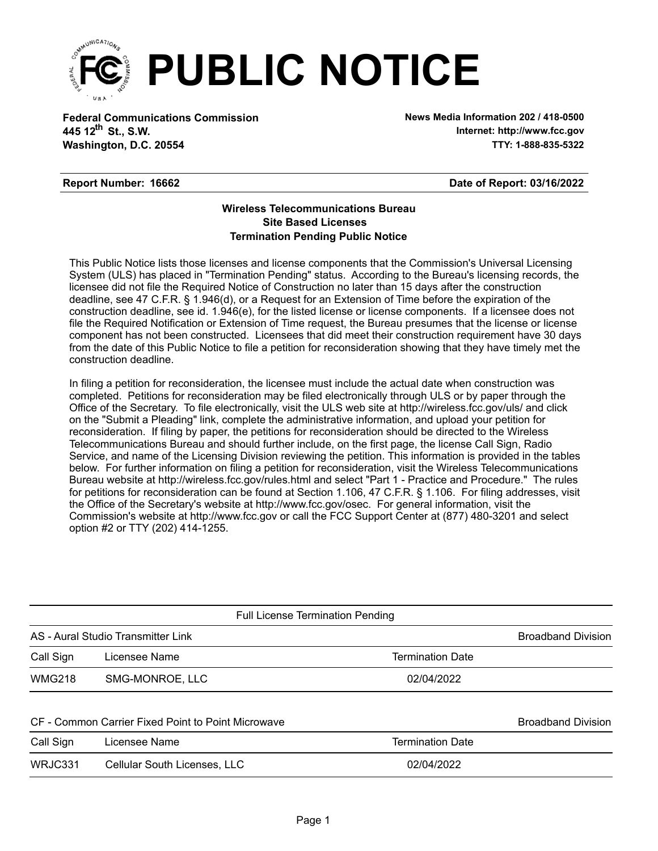

**Federal Communications Commission News Media Information 202 / 418-0500 Washington, D.C. 20554 TTY: 1-888-835-5322 445 12<sup>th</sup> St., S.W.** 

**Internet: http://www.fcc.gov**

#### **Report Number: 16662**

**Date of Report: 03/16/2022**

#### **Wireless Telecommunications Bureau Site Based Licenses Termination Pending Public Notice**

This Public Notice lists those licenses and license components that the Commission's Universal Licensing System (ULS) has placed in "Termination Pending" status. According to the Bureau's licensing records, the licensee did not file the Required Notice of Construction no later than 15 days after the construction deadline, see 47 C.F.R. § 1.946(d), or a Request for an Extension of Time before the expiration of the construction deadline, see id. 1.946(e), for the listed license or license components. If a licensee does not file the Required Notification or Extension of Time request, the Bureau presumes that the license or license component has not been constructed. Licensees that did meet their construction requirement have 30 days from the date of this Public Notice to file a petition for reconsideration showing that they have timely met the construction deadline.

In filing a petition for reconsideration, the licensee must include the actual date when construction was completed. Petitions for reconsideration may be filed electronically through ULS or by paper through the Office of the Secretary. To file electronically, visit the ULS web site at http://wireless.fcc.gov/uls/ and click on the "Submit a Pleading" link, complete the administrative information, and upload your petition for reconsideration. If filing by paper, the petitions for reconsideration should be directed to the Wireless Telecommunications Bureau and should further include, on the first page, the license Call Sign, Radio Service, and name of the Licensing Division reviewing the petition. This information is provided in the tables below. For further information on filing a petition for reconsideration, visit the Wireless Telecommunications Bureau website at http://wireless.fcc.gov/rules.html and select "Part 1 - Practice and Procedure." The rules for petitions for reconsideration can be found at Section 1.106, 47 C.F.R. § 1.106. For filing addresses, visit the Office of the Secretary's website at http://www.fcc.gov/osec. For general information, visit the Commission's website at http://www.fcc.gov or call the FCC Support Center at (877) 480-3201 and select option #2 or TTY (202) 414-1255.

|               | <b>Full License Termination Pending</b>            |                         |                           |  |  |  |  |  |
|---------------|----------------------------------------------------|-------------------------|---------------------------|--|--|--|--|--|
|               | AS - Aural Studio Transmitter Link                 |                         | <b>Broadband Division</b> |  |  |  |  |  |
| Call Sign     | Licensee Name                                      | <b>Termination Date</b> |                           |  |  |  |  |  |
| <b>WMG218</b> | SMG-MONROE, LLC                                    | 02/04/2022              |                           |  |  |  |  |  |
|               | CF - Common Carrier Fixed Point to Point Microwave |                         | <b>Broadband Division</b> |  |  |  |  |  |
| Call Sign     | Licensee Name                                      | <b>Termination Date</b> |                           |  |  |  |  |  |
| WRJC331       | <b>Cellular South Licenses, LLC</b>                | 02/04/2022              |                           |  |  |  |  |  |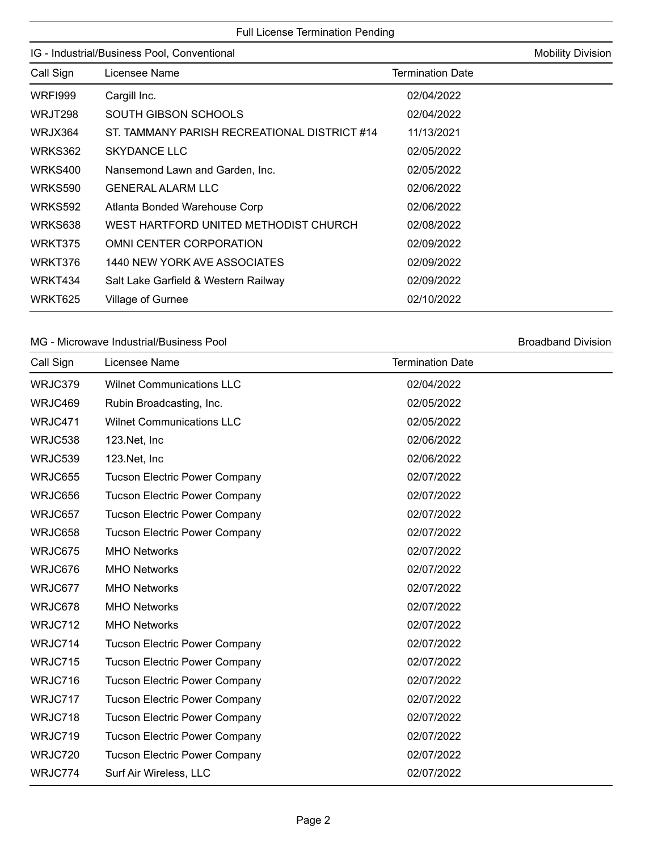| IG - Industrial/Business Pool, Conventional | <b>Mobility Division</b>                     |                         |  |
|---------------------------------------------|----------------------------------------------|-------------------------|--|
| Call Sign                                   | Licensee Name                                | <b>Termination Date</b> |  |
| <b>WRFI999</b>                              | Cargill Inc.                                 | 02/04/2022              |  |
| WRJT298                                     | <b>SOUTH GIBSON SCHOOLS</b>                  | 02/04/2022              |  |
| WRJX364                                     | ST. TAMMANY PARISH RECREATIONAL DISTRICT #14 | 11/13/2021              |  |
| WRKS362                                     | <b>SKYDANCE LLC</b>                          | 02/05/2022              |  |
| WRKS400                                     | Nansemond Lawn and Garden, Inc.              | 02/05/2022              |  |
| <b>WRKS590</b>                              | <b>GENERAL ALARM LLC</b>                     | 02/06/2022              |  |
| WRKS592                                     | Atlanta Bonded Warehouse Corp                | 02/06/2022              |  |
| WRKS638                                     | WEST HARTFORD UNITED METHODIST CHURCH        | 02/08/2022              |  |
| WRKT375                                     | OMNI CENTER CORPORATION                      | 02/09/2022              |  |
| WRKT376                                     | 1440 NEW YORK AVE ASSOCIATES                 | 02/09/2022              |  |
| WRKT434                                     | Salt Lake Garfield & Western Railway         | 02/09/2022              |  |
| WRKT625                                     | Village of Gurnee                            | 02/10/2022              |  |

#### MG - Microwave Industrial/Business Pool and Broadband Division Broadband Division

| Call Sign | Licensee Name                        | <b>Termination Date</b> |  |
|-----------|--------------------------------------|-------------------------|--|
| WRJC379   | <b>Wilnet Communications LLC</b>     | 02/04/2022              |  |
| WRJC469   | Rubin Broadcasting, Inc.             | 02/05/2022              |  |
| WRJC471   | <b>Wilnet Communications LLC</b>     | 02/05/2022              |  |
| WRJC538   | 123.Net, Inc                         | 02/06/2022              |  |
| WRJC539   | 123.Net, Inc                         | 02/06/2022              |  |
| WRJC655   | <b>Tucson Electric Power Company</b> | 02/07/2022              |  |
| WRJC656   | <b>Tucson Electric Power Company</b> | 02/07/2022              |  |
| WRJC657   | <b>Tucson Electric Power Company</b> | 02/07/2022              |  |
| WRJC658   | <b>Tucson Electric Power Company</b> | 02/07/2022              |  |
| WRJC675   | <b>MHO Networks</b>                  | 02/07/2022              |  |
| WRJC676   | <b>MHO Networks</b>                  | 02/07/2022              |  |
| WRJC677   | <b>MHO Networks</b>                  | 02/07/2022              |  |
| WRJC678   | <b>MHO Networks</b>                  | 02/07/2022              |  |
| WRJC712   | <b>MHO Networks</b>                  | 02/07/2022              |  |
| WRJC714   | <b>Tucson Electric Power Company</b> | 02/07/2022              |  |
| WRJC715   | <b>Tucson Electric Power Company</b> | 02/07/2022              |  |
| WRJC716   | <b>Tucson Electric Power Company</b> | 02/07/2022              |  |
| WRJC717   | <b>Tucson Electric Power Company</b> | 02/07/2022              |  |
| WRJC718   | <b>Tucson Electric Power Company</b> | 02/07/2022              |  |
| WRJC719   | <b>Tucson Electric Power Company</b> | 02/07/2022              |  |
| WRJC720   | <b>Tucson Electric Power Company</b> | 02/07/2022              |  |
| WRJC774   | Surf Air Wireless, LLC               | 02/07/2022              |  |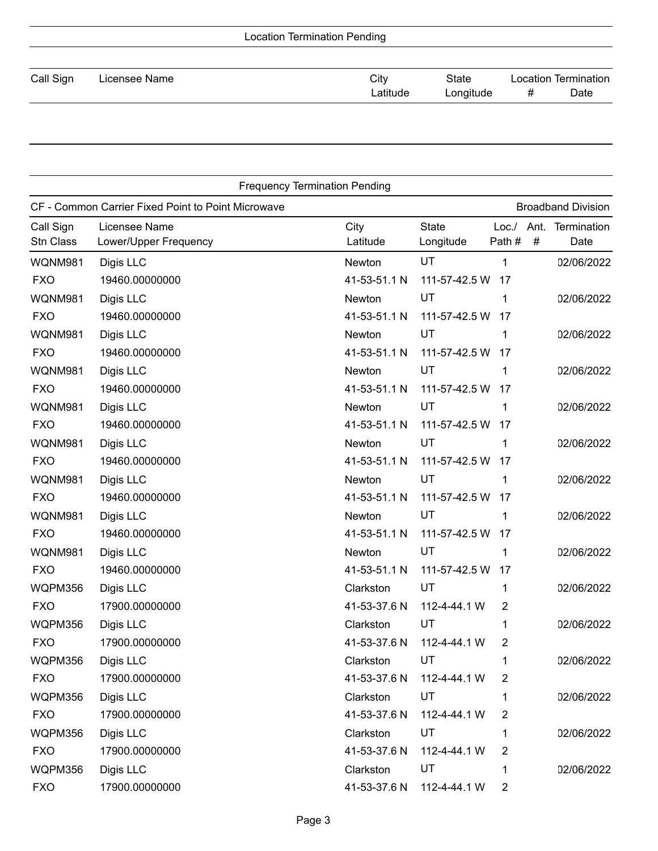| Call Sign | Licensee Name | City     | State     | Location Termination |      |
|-----------|---------------|----------|-----------|----------------------|------|
|           |               | _atitude | Longitude | #                    | Date |

|                        | <b>Frequency Termination Pending</b>               |                  |                           |                  |           |                           |
|------------------------|----------------------------------------------------|------------------|---------------------------|------------------|-----------|---------------------------|
|                        | CF - Common Carrier Fixed Point to Point Microwave |                  |                           |                  |           | <b>Broadband Division</b> |
| Call Sign<br>Stn Class | Licensee Name<br>Lower/Upper Frequency             | City<br>Latitude | <b>State</b><br>Longitude | Loc. /<br>Path # | Ant.<br># | Termination<br>Date       |
| WQNM981                | Digis LLC                                          | Newton           | UT                        | 1                |           | 02/06/2022                |
| <b>FXO</b>             | 19460.00000000                                     | 41-53-51.1 N     | 111-57-42.5 W             | 17               |           |                           |
| WQNM981                | Digis LLC                                          | Newton           | UT                        | 1                |           | 02/06/2022                |
| <b>FXO</b>             | 19460.00000000                                     | 41-53-51.1 N     | 111-57-42.5 W             | 17               |           |                           |
| WQNM981                | Digis LLC                                          | Newton           | UT                        | 1                |           | 02/06/2022                |
| <b>FXO</b>             | 19460.00000000                                     | 41-53-51.1 N     | 111-57-42.5 W             | 17               |           |                           |
| WQNM981                | Digis LLC                                          | Newton           | UT                        | 1                |           | 02/06/2022                |
| <b>FXO</b>             | 19460.00000000                                     | 41-53-51.1 N     | 111-57-42.5 W             | 17               |           |                           |
| WQNM981                | Digis LLC                                          | Newton           | UT                        | 1                |           | 02/06/2022                |
| <b>FXO</b>             | 19460.00000000                                     | 41-53-51.1 N     | 111-57-42.5 W             | 17               |           |                           |
| WQNM981                | Digis LLC                                          | Newton           | UT                        | 1                |           | 02/06/2022                |
| <b>FXO</b>             | 19460.00000000                                     | 41-53-51.1 N     | 111-57-42.5 W             | 17               |           |                           |
| WQNM981                | Digis LLC                                          | Newton           | UT                        | 1                |           | 02/06/2022                |
| <b>FXO</b>             | 19460.00000000                                     | 41-53-51.1 N     | 111-57-42.5 W             | 17               |           |                           |
| WQNM981                | Digis LLC                                          | Newton           | UT                        | 1                |           | 02/06/2022                |
| <b>FXO</b>             | 19460.00000000                                     | 41-53-51.1 N     | 111-57-42.5 W             | 17               |           |                           |
| WQNM981                | Digis LLC                                          | Newton           | UT                        | 1                |           | 02/06/2022                |
| <b>FXO</b>             | 19460.00000000                                     | 41-53-51.1 N     | 111-57-42.5 W             | 17               |           |                           |
| WQPM356                | Digis LLC                                          | Clarkston        | UT                        | 1                |           | 02/06/2022                |
| <b>FXO</b>             | 17900.00000000                                     | 41-53-37.6 N     | 112-4-44.1 W              | 2                |           |                           |
| WQPM356                | Digis LLC                                          | Clarkston        | UT                        | 1                |           | 02/06/2022                |
| <b>FXO</b>             | 17900.00000000                                     | 41-53-37.6 N     | 112-4-44.1 W              | 2                |           |                           |
| WQPM356                | Digis LLC                                          | Clarkston        | UT                        | 1                |           | 02/06/2022                |
| <b>FXO</b>             | 17900.00000000                                     | 41-53-37.6 N     | 112-4-44.1 W              | 2                |           |                           |
| WQPM356                | Digis LLC                                          | Clarkston        | UT                        | 1                |           | 02/06/2022                |
| <b>FXO</b>             | 17900.00000000                                     | 41-53-37.6 N     | 112-4-44.1 W              | 2                |           |                           |
| WQPM356                | Digis LLC                                          | Clarkston        | UT                        | 1                |           | 02/06/2022                |
| <b>FXO</b>             | 17900.00000000                                     | 41-53-37.6 N     | 112-4-44.1 W              | 2                |           |                           |
| WQPM356                | Digis LLC                                          | Clarkston        | UT                        | 1                |           | 02/06/2022                |
| <b>FXO</b>             | 17900.00000000                                     | 41-53-37.6 N     | 112-4-44.1 W              | 2                |           |                           |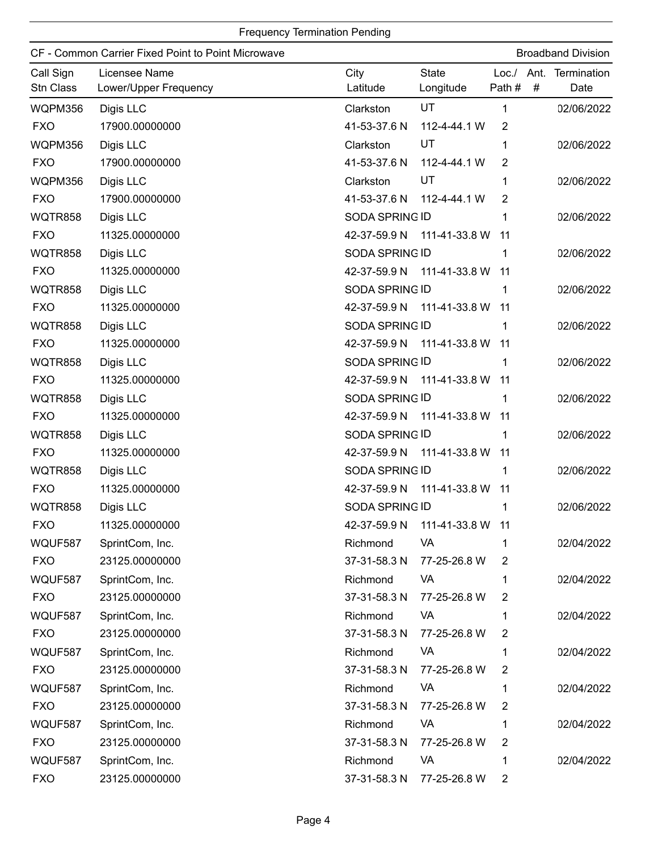|                        | CF - Common Carrier Fixed Point to Point Microwave |                  |                                 |                |   | <b>Broadband Division</b>      |
|------------------------|----------------------------------------------------|------------------|---------------------------------|----------------|---|--------------------------------|
| Call Sign<br>Stn Class | Licensee Name<br>Lower/Upper Frequency             | City<br>Latitude | <b>State</b><br>Longitude       | Path #         | # | Loc./ Ant. Termination<br>Date |
| WQPM356                | Digis LLC                                          | Clarkston        | <b>UT</b>                       | $\mathbf 1$    |   | 02/06/2022                     |
| <b>FXO</b>             | 17900.00000000                                     | 41-53-37.6 N     | 112-4-44.1 W                    | 2              |   |                                |
| WQPM356                | Digis LLC                                          | Clarkston        | UT                              | 1              |   | 02/06/2022                     |
| <b>FXO</b>             | 17900.00000000                                     | 41-53-37.6 N     | 112-4-44.1 W                    | 2              |   |                                |
| WQPM356                | Digis LLC                                          | Clarkston        | UT                              | 1              |   | 02/06/2022                     |
| <b>FXO</b>             | 17900.00000000                                     | 41-53-37.6 N     | 112-4-44.1 W                    | 2              |   |                                |
| WQTR858                | Digis LLC                                          | SODA SPRING ID   |                                 | 1              |   | 02/06/2022                     |
| <b>FXO</b>             | 11325.00000000                                     | 42-37-59.9 N     | 111-41-33.8 W                   | 11             |   |                                |
| <b>WQTR858</b>         | Digis LLC                                          | SODA SPRING ID   |                                 | 1              |   | 02/06/2022                     |
| <b>FXO</b>             | 11325.00000000                                     | 42-37-59.9 N     | 111-41-33.8 W                   | 11             |   |                                |
| WQTR858                | Digis LLC                                          | SODA SPRING ID   |                                 | 1              |   | 02/06/2022                     |
| <b>FXO</b>             | 11325.00000000                                     | 42-37-59.9 N     | 111-41-33.8 W                   | 11             |   |                                |
| <b>WQTR858</b>         | Digis LLC                                          | SODA SPRING ID   |                                 | 1              |   | 02/06/2022                     |
| <b>FXO</b>             | 11325.00000000                                     |                  | 42-37-59.9 N 111-41-33.8 W      | 11             |   |                                |
| <b>WQTR858</b>         | Digis LLC                                          | SODA SPRING ID   |                                 | 1              |   | 02/06/2022                     |
| <b>FXO</b>             | 11325.00000000                                     |                  | 42-37-59.9 N 111-41-33.8 W      | 11             |   |                                |
| WQTR858                | Digis LLC                                          | SODA SPRING ID   |                                 | 1              |   | 02/06/2022                     |
| <b>FXO</b>             | 11325.00000000                                     |                  | 42-37-59.9 N 111-41-33.8 W      | 11             |   |                                |
| <b>WQTR858</b>         | Digis LLC                                          | SODA SPRING ID   |                                 | 1              |   | 02/06/2022                     |
| <b>FXO</b>             | 11325.00000000                                     | 42-37-59.9 N     | 111-41-33.8 W                   | 11             |   |                                |
| <b>WQTR858</b>         | Digis LLC                                          | SODA SPRING ID   |                                 | 1              |   | 02/06/2022                     |
| <b>FXO</b>             | 11325.00000000                                     | 42-37-59.9 N     | 111-41-33.8 W                   | 11             |   |                                |
| WQTR858                | Digis LLC                                          | SODA SPRING ID   |                                 | 1              |   | 02/06/2022                     |
| <b>FXO</b>             | 11325.00000000                                     |                  | 42-37-59.9 N  111-41-33.8 W  11 |                |   |                                |
| WQUF587                | SprintCom, Inc.                                    | Richmond         | VA                              | 1              |   | 02/04/2022                     |
| <b>FXO</b>             | 23125.00000000                                     | 37-31-58.3 N     | 77-25-26.8 W                    | 2              |   |                                |
| WQUF587                | SprintCom, Inc.                                    | Richmond         | VA                              | 1              |   | 02/04/2022                     |
| <b>FXO</b>             | 23125.00000000                                     | 37-31-58.3 N     | 77-25-26.8 W                    | 2              |   |                                |
| WQUF587                | SprintCom, Inc.                                    | Richmond         | VA                              | 1              |   | 02/04/2022                     |
| <b>FXO</b>             | 23125.00000000                                     | 37-31-58.3 N     | 77-25-26.8 W                    | $\overline{2}$ |   |                                |
| WQUF587                | SprintCom, Inc.                                    | Richmond         | VA                              | 1              |   | 02/04/2022                     |
| <b>FXO</b>             | 23125.00000000                                     | 37-31-58.3 N     | 77-25-26.8 W                    | $\overline{2}$ |   |                                |
| WQUF587                | SprintCom, Inc.                                    | Richmond         | VA                              | 1              |   | 02/04/2022                     |
| <b>FXO</b>             | 23125.00000000                                     | 37-31-58.3 N     | 77-25-26.8 W                    | $\overline{2}$ |   |                                |
| WQUF587                | SprintCom, Inc.                                    | Richmond         | VA                              | 1              |   | 02/04/2022                     |
| <b>FXO</b>             | 23125.00000000                                     | 37-31-58.3 N     | 77-25-26.8 W                    | 2              |   |                                |
| WQUF587                | SprintCom, Inc.                                    | Richmond         | VA                              | 1              |   | 02/04/2022                     |
| <b>FXO</b>             | 23125.00000000                                     | 37-31-58.3 N     | 77-25-26.8 W                    | 2              |   |                                |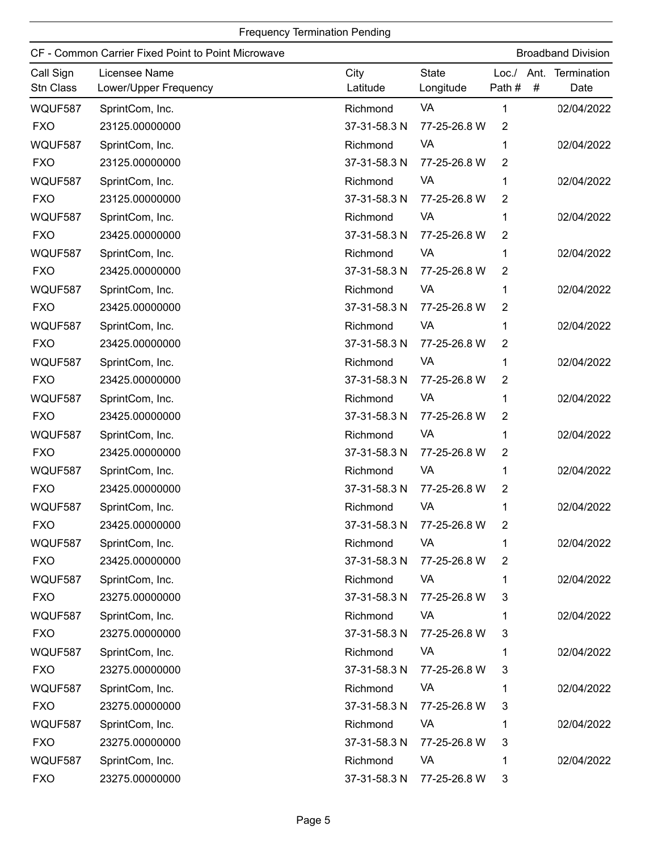| CF - Common Carrier Fixed Point to Point Microwave |                                        |                  |                           | <b>Broadband Division</b> |   |                     |
|----------------------------------------------------|----------------------------------------|------------------|---------------------------|---------------------------|---|---------------------|
| Call Sign<br>Stn Class                             | Licensee Name<br>Lower/Upper Frequency | City<br>Latitude | <b>State</b><br>Longitude | Loc./ Ant.<br>Path#       | # | Termination<br>Date |
| WQUF587                                            | SprintCom, Inc.                        | Richmond         | VA                        | 1                         |   | 02/04/2022          |
| <b>FXO</b>                                         | 23125.00000000                         | 37-31-58.3 N     | 77-25-26.8 W              | $\overline{2}$            |   |                     |
| WQUF587                                            | SprintCom, Inc.                        | Richmond         | VA                        | 1                         |   | 02/04/2022          |
| <b>FXO</b>                                         | 23125.00000000                         | 37-31-58.3 N     | 77-25-26.8 W              | $\overline{2}$            |   |                     |
| WQUF587                                            | SprintCom, Inc.                        | Richmond         | VA                        | 1                         |   | 02/04/2022          |
| <b>FXO</b>                                         | 23125.00000000                         | 37-31-58.3 N     | 77-25-26.8 W              | $\overline{2}$            |   |                     |
| WQUF587                                            | SprintCom, Inc.                        | Richmond         | VA                        | 1                         |   | 02/04/2022          |
| <b>FXO</b>                                         | 23425.00000000                         | 37-31-58.3 N     | 77-25-26.8 W              | $\overline{2}$            |   |                     |
| WQUF587                                            | SprintCom, Inc.                        | Richmond         | VA                        | 1                         |   | 02/04/2022          |
| <b>FXO</b>                                         | 23425.00000000                         | 37-31-58.3 N     | 77-25-26.8 W              | $\overline{2}$            |   |                     |
| WQUF587                                            | SprintCom, Inc.                        | Richmond         | VA                        | 1                         |   | 02/04/2022          |
| <b>FXO</b>                                         | 23425.00000000                         | 37-31-58.3 N     | 77-25-26.8 W              | $\overline{2}$            |   |                     |
| WQUF587                                            | SprintCom, Inc.                        | Richmond         | VA                        | 1                         |   | 02/04/2022          |
| <b>FXO</b>                                         | 23425.00000000                         | 37-31-58.3 N     | 77-25-26.8 W              | $\overline{2}$            |   |                     |
| WQUF587                                            | SprintCom, Inc.                        | Richmond         | VA                        | 1                         |   | 02/04/2022          |
| <b>FXO</b>                                         | 23425.00000000                         | 37-31-58.3 N     | 77-25-26.8 W              | $\overline{2}$            |   |                     |
| WQUF587                                            | SprintCom, Inc.                        | Richmond         | VA                        | 1                         |   | 02/04/2022          |
| <b>FXO</b>                                         | 23425.00000000                         | 37-31-58.3 N     | 77-25-26.8 W              | $\overline{2}$            |   |                     |
| WQUF587                                            | SprintCom, Inc.                        | Richmond         | VA                        | 1                         |   | 02/04/2022          |
| <b>FXO</b>                                         | 23425.00000000                         | 37-31-58.3 N     | 77-25-26.8 W              | 2                         |   |                     |
| WQUF587                                            | SprintCom, Inc.                        | Richmond         | VA                        | 1                         |   | 02/04/2022          |
| <b>FXO</b>                                         | 23425.00000000                         | 37-31-58.3 N     | 77-25-26.8 W              | $\overline{2}$            |   |                     |
| WQUF587                                            | SprintCom, Inc.                        | Richmond         | VA                        | 1                         |   | 02/04/2022          |
| <b>FXO</b>                                         | 23425.00000000                         | 37-31-58.3 N     | 77-25-26.8 W              | 2                         |   |                     |
| WQUF587                                            | SprintCom, Inc.                        | Richmond         | VA                        | 1                         |   | 02/04/2022          |
| <b>FXO</b>                                         | 23425.00000000                         | 37-31-58.3 N     | 77-25-26.8 W              | 2                         |   |                     |
| WQUF587                                            | SprintCom, Inc.                        | Richmond         | VA                        | 1                         |   | 02/04/2022          |
| <b>FXO</b>                                         | 23275.00000000                         | 37-31-58.3 N     | 77-25-26.8 W              | 3                         |   |                     |
| WQUF587                                            | SprintCom, Inc.                        | Richmond         | <b>VA</b>                 |                           |   | 02/04/2022          |
| <b>FXO</b>                                         | 23275.00000000                         | 37-31-58.3 N     | 77-25-26.8 W              | 3                         |   |                     |
| WQUF587                                            | SprintCom, Inc.                        | Richmond         | VA                        |                           |   | 02/04/2022          |
| <b>FXO</b>                                         | 23275.00000000                         | 37-31-58.3 N     | 77-25-26.8 W              | 3                         |   |                     |
| WQUF587                                            | SprintCom, Inc.                        | Richmond         | VA                        |                           |   | 02/04/2022          |
| <b>FXO</b>                                         | 23275.00000000                         | 37-31-58.3 N     | 77-25-26.8 W              | 3                         |   |                     |
| WQUF587                                            | SprintCom, Inc.                        | Richmond         | VA                        | 1                         |   | 02/04/2022          |
| <b>FXO</b>                                         | 23275.00000000                         | 37-31-58.3 N     | 77-25-26.8 W              | 3                         |   |                     |
| WQUF587                                            | SprintCom, Inc.                        | Richmond         | VA                        | 1                         |   | 02/04/2022          |
| <b>FXO</b>                                         | 23275.00000000                         | 37-31-58.3 N     | 77-25-26.8 W              | 3                         |   |                     |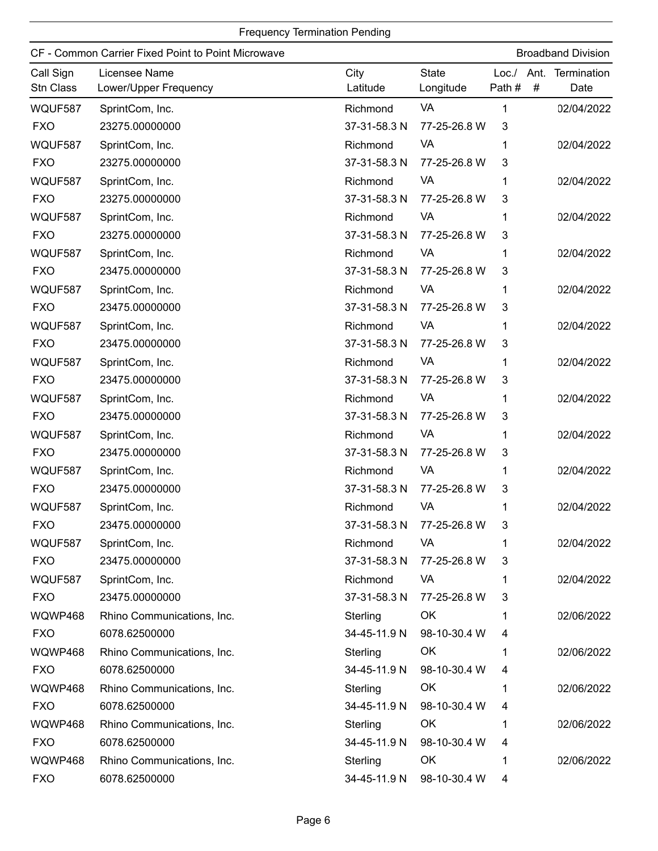|                        | CF - Common Carrier Fixed Point to Point Microwave |                  |                           |       |   | <b>Broadband Division</b>      |
|------------------------|----------------------------------------------------|------------------|---------------------------|-------|---|--------------------------------|
| Call Sign<br>Stn Class | Licensee Name<br>Lower/Upper Frequency             | City<br>Latitude | <b>State</b><br>Longitude | Path# | # | Loc./ Ant. Termination<br>Date |
| WQUF587                | SprintCom, Inc.                                    | Richmond         | VA                        | 1     |   | 02/04/2022                     |
| <b>FXO</b>             | 23275.00000000                                     | 37-31-58.3 N     | 77-25-26.8 W              | 3     |   |                                |
| WQUF587                | SprintCom, Inc.                                    | Richmond         | VA                        | 1     |   | 02/04/2022                     |
| <b>FXO</b>             | 23275.00000000                                     | 37-31-58.3 N     | 77-25-26.8 W              | 3     |   |                                |
| WQUF587                | SprintCom, Inc.                                    | Richmond         | VA                        | 1     |   | 02/04/2022                     |
| <b>FXO</b>             | 23275.00000000                                     | 37-31-58.3 N     | 77-25-26.8 W              | 3     |   |                                |
| WQUF587                | SprintCom, Inc.                                    | Richmond         | VA                        | 1     |   | 02/04/2022                     |
| <b>FXO</b>             | 23275.00000000                                     | 37-31-58.3 N     | 77-25-26.8 W              | 3     |   |                                |
| WQUF587                | SprintCom, Inc.                                    | Richmond         | VA                        | 1     |   | 02/04/2022                     |
| <b>FXO</b>             | 23475.00000000                                     | 37-31-58.3 N     | 77-25-26.8 W              | 3     |   |                                |
| WQUF587                | SprintCom, Inc.                                    | Richmond         | VA                        | 1     |   | 02/04/2022                     |
| <b>FXO</b>             | 23475.00000000                                     | 37-31-58.3 N     | 77-25-26.8 W              | 3     |   |                                |
| WQUF587                | SprintCom, Inc.                                    | Richmond         | VA                        | 1     |   | 02/04/2022                     |
| <b>FXO</b>             | 23475.00000000                                     | 37-31-58.3 N     | 77-25-26.8 W              | 3     |   |                                |
| WQUF587                | SprintCom, Inc.                                    | Richmond         | VA                        | 1     |   | 02/04/2022                     |
| <b>FXO</b>             | 23475.00000000                                     | 37-31-58.3 N     | 77-25-26.8 W              | 3     |   |                                |
| WQUF587                | SprintCom, Inc.                                    | Richmond         | VA                        | 1     |   | 02/04/2022                     |
| <b>FXO</b>             | 23475.00000000                                     | 37-31-58.3 N     | 77-25-26.8 W              | 3     |   |                                |
| WQUF587                | SprintCom, Inc.                                    | Richmond         | VA                        | 1     |   | 02/04/2022                     |
| <b>FXO</b>             | 23475.00000000                                     | 37-31-58.3 N     | 77-25-26.8 W              | 3     |   |                                |
| WQUF587                | SprintCom, Inc.                                    | Richmond         | VA                        | 1     |   | 02/04/2022                     |
| <b>FXO</b>             | 23475.00000000                                     | 37-31-58.3 N     | 77-25-26.8 W              | 3     |   |                                |
| WQUF587                | SprintCom, Inc.                                    | Richmond         | VA                        |       |   | 02/04/2022                     |
| <b>FXO</b>             | 23475.00000000                                     | 37-31-58.3 N     | 77-25-26.8 W              | 3     |   |                                |
| WQUF587                | SprintCom, Inc.                                    | Richmond         | VA                        | 1     |   | 02/04/2022                     |
| <b>FXO</b>             | 23475.00000000                                     | 37-31-58.3 N     | 77-25-26.8 W              | 3     |   |                                |
| WQUF587                | SprintCom, Inc.                                    | Richmond         | VA                        | 1     |   | 02/04/2022                     |
| <b>FXO</b>             | 23475.00000000                                     | 37-31-58.3 N     | 77-25-26.8 W              | 3     |   |                                |
| WQWP468                | Rhino Communications, Inc.                         | Sterling         | OK                        |       |   | 02/06/2022                     |
| <b>FXO</b>             | 6078.62500000                                      | 34-45-11.9 N     | 98-10-30.4 W              | 4     |   |                                |
| WQWP468                | Rhino Communications, Inc.                         | Sterling         | OK                        | 1     |   | 02/06/2022                     |
| <b>FXO</b>             | 6078.62500000                                      | 34-45-11.9 N     | 98-10-30.4 W              | 4     |   |                                |
| WQWP468                | Rhino Communications, Inc.                         | Sterling         | OK                        |       |   | 02/06/2022                     |
| <b>FXO</b>             | 6078.62500000                                      | 34-45-11.9 N     | 98-10-30.4 W              | 4     |   |                                |
| WQWP468                | Rhino Communications, Inc.                         | Sterling         | OK                        | 1     |   | 02/06/2022                     |
| <b>FXO</b>             | 6078.62500000                                      | 34-45-11.9 N     | 98-10-30.4 W              | 4     |   |                                |
| WQWP468                | Rhino Communications, Inc.                         | Sterling         | OK                        | 1     |   | 02/06/2022                     |
| <b>FXO</b>             | 6078.62500000                                      | 34-45-11.9 N     | 98-10-30.4 W              | 4     |   |                                |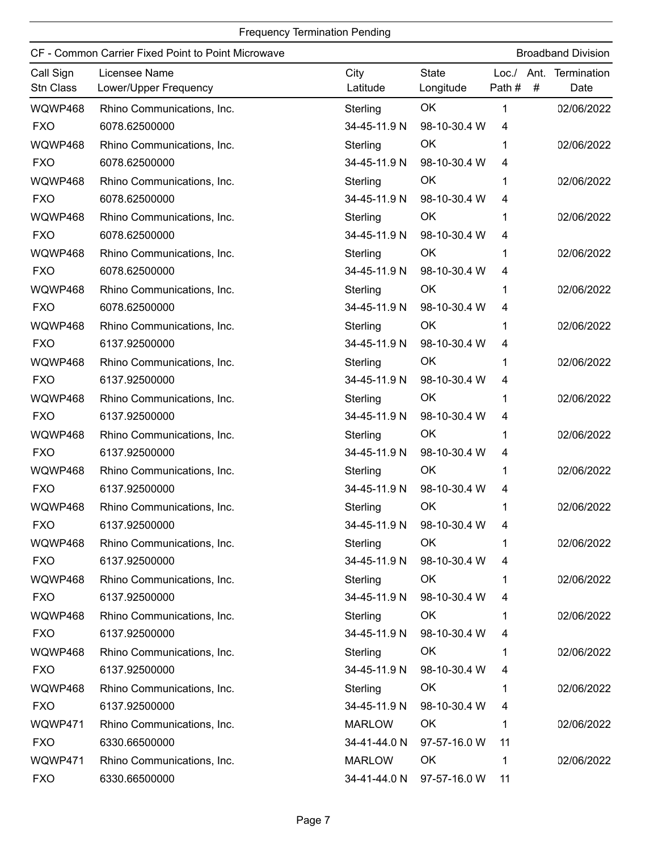|                        | CF - Common Carrier Fixed Point to Point Microwave |                  |                           |                 |           | <b>Broadband Division</b> |
|------------------------|----------------------------------------------------|------------------|---------------------------|-----------------|-----------|---------------------------|
| Call Sign<br>Stn Class | Licensee Name<br>Lower/Upper Frequency             | City<br>Latitude | <b>State</b><br>Longitude | Loc. /<br>Path# | Ant.<br># | Termination<br>Date       |
| WQWP468                | Rhino Communications, Inc.                         | Sterling         | OK                        | 1               |           | 02/06/2022                |
| <b>FXO</b>             | 6078.62500000                                      | 34-45-11.9 N     | 98-10-30.4 W              | 4               |           |                           |
| WQWP468                | Rhino Communications, Inc.                         | Sterling         | OK                        | 1               |           | 02/06/2022                |
| <b>FXO</b>             | 6078.62500000                                      | 34-45-11.9 N     | 98-10-30.4 W              | 4               |           |                           |
| WQWP468                | Rhino Communications, Inc.                         | Sterling         | OK                        | 1               |           | 02/06/2022                |
| <b>FXO</b>             | 6078.62500000                                      | 34-45-11.9 N     | 98-10-30.4 W              | 4               |           |                           |
| WQWP468                | Rhino Communications, Inc.                         | Sterling         | OK                        | 1               |           | 02/06/2022                |
| <b>FXO</b>             | 6078.62500000                                      | 34-45-11.9 N     | 98-10-30.4 W              | 4               |           |                           |
| WQWP468                | Rhino Communications, Inc.                         | Sterling         | OK                        | 1               |           | 02/06/2022                |
| <b>FXO</b>             | 6078.62500000                                      | 34-45-11.9 N     | 98-10-30.4 W              | 4               |           |                           |
| WQWP468                | Rhino Communications, Inc.                         | Sterling         | OK                        | 1               |           | 02/06/2022                |
| <b>FXO</b>             | 6078.62500000                                      | 34-45-11.9 N     | 98-10-30.4 W              | 4               |           |                           |
| WQWP468                | Rhino Communications, Inc.                         | Sterling         | OK                        | 1               |           | 02/06/2022                |
| <b>FXO</b>             | 6137.92500000                                      | 34-45-11.9 N     | 98-10-30.4 W              | 4               |           |                           |
| WQWP468                | Rhino Communications, Inc.                         | Sterling         | OK                        | 1               |           | 02/06/2022                |
| <b>FXO</b>             | 6137.92500000                                      | 34-45-11.9 N     | 98-10-30.4 W              | 4               |           |                           |
| WQWP468                | Rhino Communications, Inc.                         | Sterling         | OK                        | 1               |           | 02/06/2022                |
| <b>FXO</b>             | 6137.92500000                                      | 34-45-11.9 N     | 98-10-30.4 W              | 4               |           |                           |
| WQWP468                | Rhino Communications, Inc.                         | Sterling         | OK                        | 1               |           | 02/06/2022                |
| <b>FXO</b>             | 6137.92500000                                      | 34-45-11.9 N     | 98-10-30.4 W              | 4               |           |                           |
| WQWP468                | Rhino Communications, Inc.                         | Sterling         | OK                        | 1               |           | 02/06/2022                |
| <b>FXO</b>             | 6137.92500000                                      | 34-45-11.9 N     | 98-10-30.4 W              | 4               |           |                           |
| WQWP468                | Rhino Communications, Inc.                         | Sterling         | OK                        |                 |           | 02/06/2022                |
| <b>FXO</b>             | 6137.92500000                                      |                  | 34-45-11.9 N 98-10-30.4 W | 4               |           |                           |
| WQWP468                | Rhino Communications, Inc.                         | Sterling         | OK                        | 1               |           | 02/06/2022                |
| <b>FXO</b>             | 6137.92500000                                      | 34-45-11.9 N     | 98-10-30.4 W              | 4               |           |                           |
| WQWP468                | Rhino Communications, Inc.                         | Sterling         | OK                        | 1               |           | 02/06/2022                |
| <b>FXO</b>             | 6137.92500000                                      | 34-45-11.9 N     | 98-10-30.4 W              | 4               |           |                           |
| WQWP468                | Rhino Communications, Inc.                         | Sterling         | OK                        | 1               |           | 02/06/2022                |
| <b>FXO</b>             | 6137.92500000                                      | 34-45-11.9 N     | 98-10-30.4 W              | 4               |           |                           |
| WQWP468                | Rhino Communications, Inc.                         | Sterling         | OK                        | 1               |           | 02/06/2022                |
| <b>FXO</b>             | 6137.92500000                                      | 34-45-11.9 N     | 98-10-30.4 W              | 4               |           |                           |
| WQWP468                | Rhino Communications, Inc.                         | Sterling         | OK                        | 1               |           | 02/06/2022                |
| <b>FXO</b>             | 6137.92500000                                      | 34-45-11.9 N     | 98-10-30.4 W              | 4               |           |                           |
| WQWP471                | Rhino Communications, Inc.                         | <b>MARLOW</b>    | OK                        | 1               |           | 02/06/2022                |
| <b>FXO</b>             | 6330.66500000                                      | 34-41-44.0 N     | 97-57-16.0 W              | 11              |           |                           |
| WQWP471                | Rhino Communications, Inc.                         | <b>MARLOW</b>    | OK                        | 1               |           | 02/06/2022                |
| <b>FXO</b>             | 6330.66500000                                      | 34-41-44.0 N     | 97-57-16.0 W              | 11              |           |                           |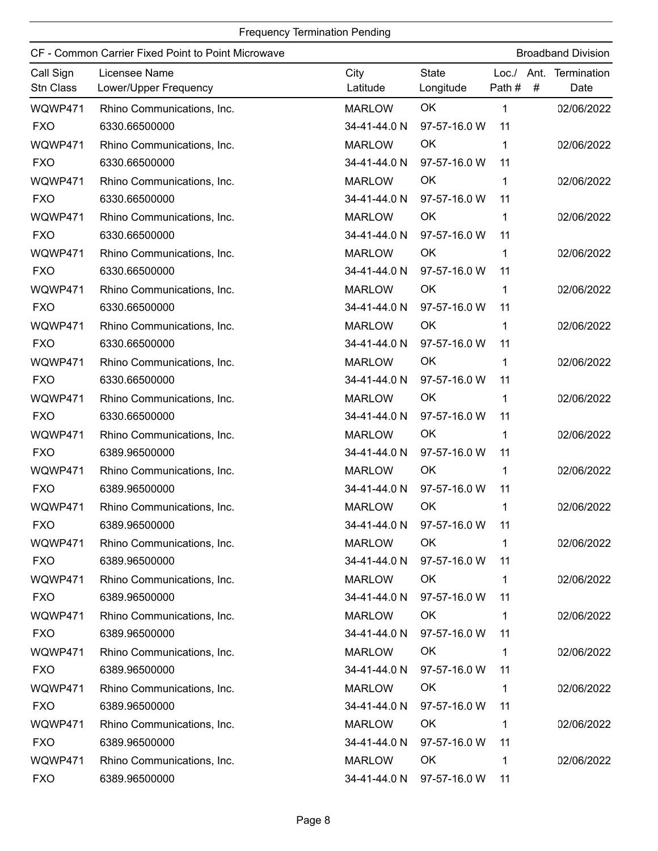|                        | CF - Common Carrier Fixed Point to Point Microwave |                  |                           |                           | <b>Broadband Division</b> |
|------------------------|----------------------------------------------------|------------------|---------------------------|---------------------------|---------------------------|
| Call Sign<br>Stn Class | Licensee Name<br>Lower/Upper Frequency             | City<br>Latitude | <b>State</b><br>Longitude | Loc./ Ant.<br>Path #<br># | Termination<br>Date       |
| WQWP471                | Rhino Communications, Inc.                         | <b>MARLOW</b>    | OK                        | 1                         | 02/06/2022                |
| <b>FXO</b>             | 6330.66500000                                      | 34-41-44.0 N     | 97-57-16.0 W              | 11                        |                           |
| WQWP471                | Rhino Communications, Inc.                         | <b>MARLOW</b>    | OK                        | 1                         | 02/06/2022                |
| <b>FXO</b>             | 6330.66500000                                      | 34-41-44.0 N     | 97-57-16.0 W              | 11                        |                           |
| WQWP471                | Rhino Communications, Inc.                         | <b>MARLOW</b>    | OK                        | 1                         | 02/06/2022                |
| <b>FXO</b>             | 6330.66500000                                      | 34-41-44.0 N     | 97-57-16.0 W              | 11                        |                           |
| WQWP471                | Rhino Communications, Inc.                         | <b>MARLOW</b>    | OK                        | 1                         | 02/06/2022                |
| <b>FXO</b>             | 6330.66500000                                      | 34-41-44.0 N     | 97-57-16.0 W              | 11                        |                           |
| WQWP471                | Rhino Communications, Inc.                         | <b>MARLOW</b>    | OK                        | 1                         | 02/06/2022                |
| <b>FXO</b>             | 6330.66500000                                      | 34-41-44.0 N     | 97-57-16.0 W              | 11                        |                           |
| WQWP471                | Rhino Communications, Inc.                         | <b>MARLOW</b>    | <b>OK</b>                 | 1                         | 02/06/2022                |
| <b>FXO</b>             | 6330.66500000                                      | 34-41-44.0 N     | 97-57-16.0 W              | 11                        |                           |
| WQWP471                | Rhino Communications, Inc.                         | <b>MARLOW</b>    | OK                        | 1                         | 02/06/2022                |
| <b>FXO</b>             | 6330.66500000                                      | 34-41-44.0 N     | 97-57-16.0 W              | 11                        |                           |
| WQWP471                | Rhino Communications, Inc.                         | <b>MARLOW</b>    | OK                        | 1                         | 02/06/2022                |
| <b>FXO</b>             | 6330.66500000                                      | 34-41-44.0 N     | 97-57-16.0 W              | 11                        |                           |
| WQWP471                | Rhino Communications, Inc.                         | <b>MARLOW</b>    | OK                        | 1                         | 02/06/2022                |
| <b>FXO</b>             | 6330.66500000                                      | 34-41-44.0 N     | 97-57-16.0 W              | 11                        |                           |
| WQWP471                | Rhino Communications, Inc.                         | <b>MARLOW</b>    | OK                        | 1                         | 02/06/2022                |
| <b>FXO</b>             | 6389.96500000                                      | 34-41-44.0 N     | 97-57-16.0 W              | 11                        |                           |
| WQWP471                | Rhino Communications, Inc.                         | <b>MARLOW</b>    | OK                        | 1                         | 02/06/2022                |
| <b>FXO</b>             | 6389.96500000                                      | 34-41-44.0 N     | 97-57-16.0 W              | 11                        |                           |
| WQWP471                | Rhino Communications, Inc.                         | <b>MARLOW</b>    | OK                        | 1                         | 02/06/2022                |
| <b>FXO</b>             | 6389.96500000                                      |                  | 34-41-44.0 N 97-57-16.0 W | 11                        |                           |
| WQWP471                | Rhino Communications, Inc.                         | <b>MARLOW</b>    | OK                        | 1                         | 02/06/2022                |
| <b>FXO</b>             | 6389.96500000                                      | 34-41-44.0 N     | 97-57-16.0 W              | 11                        |                           |
| WQWP471                | Rhino Communications, Inc.                         | <b>MARLOW</b>    | OK                        | 1                         | 02/06/2022                |
| <b>FXO</b>             | 6389.96500000                                      | 34-41-44.0 N     | 97-57-16.0 W              | 11                        |                           |
| WQWP471                | Rhino Communications, Inc.                         | <b>MARLOW</b>    | OK                        | 1                         | 02/06/2022                |
| <b>FXO</b>             | 6389.96500000                                      | 34-41-44.0 N     | 97-57-16.0 W              | 11                        |                           |
| WQWP471                | Rhino Communications, Inc.                         | <b>MARLOW</b>    | OK                        | 1                         | 02/06/2022                |
| <b>FXO</b>             | 6389.96500000                                      | 34-41-44.0 N     | 97-57-16.0 W              | 11                        |                           |
| WQWP471                | Rhino Communications, Inc.                         | <b>MARLOW</b>    | OK                        | 1                         | 02/06/2022                |
| <b>FXO</b>             | 6389.96500000                                      | 34-41-44.0 N     | 97-57-16.0 W              | 11                        |                           |
| WQWP471                | Rhino Communications, Inc.                         | <b>MARLOW</b>    | OK                        | 1                         | 02/06/2022                |
| <b>FXO</b>             | 6389.96500000                                      | 34-41-44.0 N     | 97-57-16.0 W              | 11                        |                           |
| WQWP471                | Rhino Communications, Inc.                         | <b>MARLOW</b>    | OK                        | 1                         | 02/06/2022                |
| <b>FXO</b>             | 6389.96500000                                      | 34-41-44.0 N     | 97-57-16.0 W              | 11                        |                           |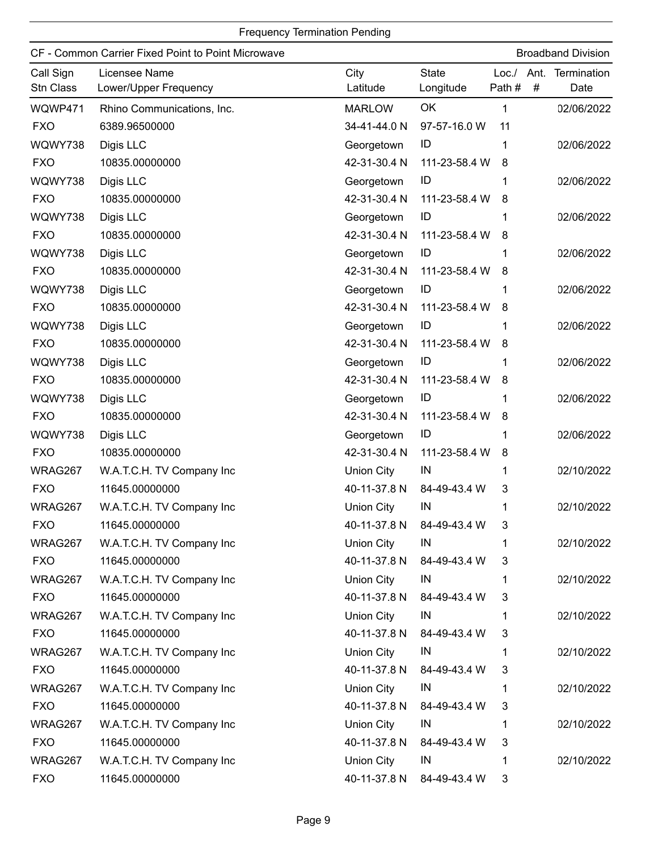|                        | CF - Common Carrier Fixed Point to Point Microwave |                   |                           |                  |           | <b>Broadband Division</b> |
|------------------------|----------------------------------------------------|-------------------|---------------------------|------------------|-----------|---------------------------|
| Call Sign<br>Stn Class | Licensee Name<br>Lower/Upper Frequency             | City<br>Latitude  | <b>State</b><br>Longitude | Loc. /<br>Path # | Ant.<br># | Termination<br>Date       |
| WQWP471                | Rhino Communications, Inc.                         | <b>MARLOW</b>     | OK                        | 1                |           | 02/06/2022                |
| <b>FXO</b>             | 6389.96500000                                      | 34-41-44.0 N      | 97-57-16.0 W              | 11               |           |                           |
| WQWY738                | Digis LLC                                          | Georgetown        | ID                        | 1                |           | 02/06/2022                |
| <b>FXO</b>             | 10835.00000000                                     | 42-31-30.4 N      | 111-23-58.4 W             | 8                |           |                           |
| WQWY738                | Digis LLC                                          | Georgetown        | ID                        |                  |           | 02/06/2022                |
| <b>FXO</b>             | 10835.00000000                                     | 42-31-30.4 N      | 111-23-58.4 W             | 8                |           |                           |
| WQWY738                | Digis LLC                                          | Georgetown        | ID                        |                  |           | 02/06/2022                |
| <b>FXO</b>             | 10835.00000000                                     | 42-31-30.4 N      | 111-23-58.4 W             | 8                |           |                           |
| WQWY738                | Digis LLC                                          | Georgetown        | ID                        | 1                |           | 02/06/2022                |
| <b>FXO</b>             | 10835.00000000                                     | 42-31-30.4 N      | 111-23-58.4 W             | 8                |           |                           |
| WQWY738                | Digis LLC                                          | Georgetown        | ID                        | 1                |           | 02/06/2022                |
| <b>FXO</b>             | 10835.00000000                                     | 42-31-30.4 N      | 111-23-58.4 W             | 8                |           |                           |
| WQWY738                | Digis LLC                                          | Georgetown        | ID                        |                  |           | 02/06/2022                |
| <b>FXO</b>             | 10835.00000000                                     | 42-31-30.4 N      | 111-23-58.4 W             | 8                |           |                           |
| WQWY738                | Digis LLC                                          | Georgetown        | ID                        | 1                |           | 02/06/2022                |
| <b>FXO</b>             | 10835.00000000                                     | 42-31-30.4 N      | 111-23-58.4 W             | 8                |           |                           |
| WQWY738                | Digis LLC                                          | Georgetown        | ID                        |                  |           | 02/06/2022                |
| <b>FXO</b>             | 10835.00000000                                     | 42-31-30.4 N      | 111-23-58.4 W             | 8                |           |                           |
| WQWY738                | Digis LLC                                          | Georgetown        | ID                        | 1                |           | 02/06/2022                |
| <b>FXO</b>             | 10835.00000000                                     | 42-31-30.4 N      | 111-23-58.4 W             | 8                |           |                           |
| WRAG267                | W.A.T.C.H. TV Company Inc                          | <b>Union City</b> | IN                        | 1                |           | 02/10/2022                |
| <b>FXO</b>             | 11645.00000000                                     | 40-11-37.8 N      | 84-49-43.4 W              | 3                |           |                           |
| WRAG267                | W.A.T.C.H. TV Company Inc                          | <b>Union City</b> | IN                        |                  |           | 02/10/2022                |
| <b>FXO</b>             | 11645.00000000                                     | 40-11-37.8 N      | 84-49-43.4 W              | 3                |           |                           |
| WRAG267                | W.A.T.C.H. TV Company Inc                          | Union City        | IN                        | 1                |           | 02/10/2022                |
| <b>FXO</b>             | 11645.00000000                                     | 40-11-37.8 N      | 84-49-43.4 W              | 3                |           |                           |
| WRAG267                | W.A.T.C.H. TV Company Inc                          | <b>Union City</b> | IN                        | 1.               |           | 02/10/2022                |
| <b>FXO</b>             | 11645.00000000                                     | 40-11-37.8 N      | 84-49-43.4 W              | 3                |           |                           |
| WRAG267                | W.A.T.C.H. TV Company Inc                          | Union City        | IN                        | 1                |           | 02/10/2022                |
| <b>FXO</b>             | 11645.00000000                                     | 40-11-37.8 N      | 84-49-43.4 W              | 3                |           |                           |
| WRAG267                | W.A.T.C.H. TV Company Inc                          | Union City        | IN                        | 1.               |           | 02/10/2022                |
| <b>FXO</b>             | 11645.00000000                                     | 40-11-37.8 N      | 84-49-43.4 W              | 3                |           |                           |
| WRAG267                | W.A.T.C.H. TV Company Inc                          | <b>Union City</b> | IN                        | 1                |           | 02/10/2022                |
| <b>FXO</b>             | 11645.00000000                                     | 40-11-37.8 N      | 84-49-43.4 W              | 3                |           |                           |
| WRAG267                | W.A.T.C.H. TV Company Inc                          | Union City        | IN                        | 1                |           | 02/10/2022                |
| <b>FXO</b>             | 11645.00000000                                     | 40-11-37.8 N      | 84-49-43.4 W              | 3                |           |                           |
| WRAG267                | W.A.T.C.H. TV Company Inc                          | <b>Union City</b> | IN                        | 1                |           | 02/10/2022                |
| <b>FXO</b>             | 11645.00000000                                     | 40-11-37.8 N      | 84-49-43.4 W              | 3                |           |                           |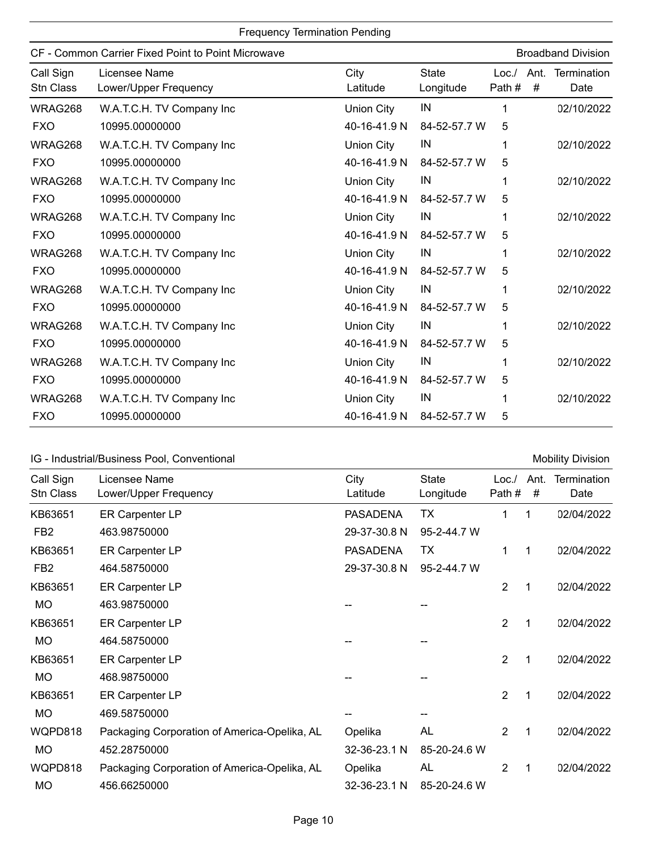| <b>Frequency Termination Pending</b> |                                                    |                   |                           |                |           |                           |
|--------------------------------------|----------------------------------------------------|-------------------|---------------------------|----------------|-----------|---------------------------|
|                                      | CF - Common Carrier Fixed Point to Point Microwave |                   |                           |                |           | <b>Broadband Division</b> |
| Call Sign<br><b>Stn Class</b>        | Licensee Name<br>Lower/Upper Frequency             | City<br>Latitude  | <b>State</b><br>Longitude | Loc.<br>Path # | Ant.<br># | Termination<br>Date       |
| WRAG268                              | W.A.T.C.H. TV Company Inc                          | Union City        | IN                        |                |           | 02/10/2022                |
| <b>FXO</b>                           | 10995.00000000                                     | 40-16-41.9 N      | 84-52-57.7 W              | 5              |           |                           |
| WRAG268                              | W.A.T.C.H. TV Company Inc                          | <b>Union City</b> | IN                        |                |           | 02/10/2022                |
| <b>FXO</b>                           | 10995.00000000                                     | 40-16-41.9 N      | 84-52-57.7 W              | 5              |           |                           |
| WRAG268                              | W.A.T.C.H. TV Company Inc                          | <b>Union City</b> | IN                        |                |           | 02/10/2022                |
| <b>FXO</b>                           | 10995.00000000                                     | 40-16-41.9 N      | 84-52-57.7 W              | 5              |           |                           |
| WRAG268                              | W.A.T.C.H. TV Company Inc                          | <b>Union City</b> | IN                        |                |           | 02/10/2022                |
| <b>FXO</b>                           | 10995.00000000                                     | 40-16-41.9 N      | 84-52-57.7 W              | 5              |           |                           |
| WRAG268                              | W.A.T.C.H. TV Company Inc                          | <b>Union City</b> | IN                        | 1              |           | 02/10/2022                |
| <b>FXO</b>                           | 10995.00000000                                     | 40-16-41.9 N      | 84-52-57.7 W              | 5              |           |                           |
| WRAG268                              | W.A.T.C.H. TV Company Inc                          | <b>Union City</b> | IN                        |                |           | 02/10/2022                |
| <b>FXO</b>                           | 10995.00000000                                     | 40-16-41.9 N      | 84-52-57.7 W              | 5              |           |                           |
| WRAG268                              | W.A.T.C.H. TV Company Inc                          | <b>Union City</b> | IN                        |                |           | 02/10/2022                |
| <b>FXO</b>                           | 10995.00000000                                     | 40-16-41.9 N      | 84-52-57.7 W              | 5              |           |                           |
| WRAG268                              | W.A.T.C.H. TV Company Inc                          | Union City        | IN                        |                |           | 02/10/2022                |
| <b>FXO</b>                           | 10995.00000000                                     | 40-16-41.9 N      | 84-52-57.7 W              | 5              |           |                           |
| WRAG268                              | W.A.T.C.H. TV Company Inc                          | <b>Union City</b> | IN                        |                |           | 02/10/2022                |
| <b>FXO</b>                           | 10995.00000000                                     | 40-16-41.9 N      | 84-52-57.7 W              | 5              |           |                           |

# IG - Industrial/Business Pool, Conventional Mobility Division

| Call Sign<br>Stn Class | Licensee Name<br>Lower/Upper Frequency       | City<br>Latitude | <b>State</b><br>Longitude | Loc.<br>Path # | Ant.<br># | <b>Termination</b><br>Date |
|------------------------|----------------------------------------------|------------------|---------------------------|----------------|-----------|----------------------------|
| KB63651                | ER Carpenter LP                              | <b>PASADENA</b>  | TХ                        | 1              | 1         | 02/04/2022                 |
| FB <sub>2</sub>        | 463.98750000                                 | 29-37-30.8 N     | 95-2-44.7 W               |                |           |                            |
| KB63651                | <b>ER Carpenter LP</b>                       | <b>PASADENA</b>  | TX                        | 1              | 1         | 02/04/2022                 |
| FB <sub>2</sub>        | 464.58750000                                 | 29-37-30.8 N     | 95-2-44.7 W               |                |           |                            |
| KB63651                | ER Carpenter LP                              |                  |                           | 2              | 1         | 02/04/2022                 |
| <b>MO</b>              | 463.98750000                                 |                  |                           |                |           |                            |
| KB63651                | ER Carpenter LP                              |                  |                           | 2              | 1         | 02/04/2022                 |
| <b>MO</b>              | 464.58750000                                 |                  |                           |                |           |                            |
| KB63651                | ER Carpenter LP                              |                  |                           | 2              | 1         | 02/04/2022                 |
| <b>MO</b>              | 468.98750000                                 |                  |                           |                |           |                            |
| KB63651                | <b>ER Carpenter LP</b>                       |                  |                           | $\overline{2}$ | 1         | 02/04/2022                 |
| MO                     | 469.58750000                                 |                  |                           |                |           |                            |
| WQPD818                | Packaging Corporation of America-Opelika, AL | Opelika          | <b>AL</b>                 | 2              | 1         | 02/04/2022                 |
| <b>MO</b>              | 452.28750000                                 | 32-36-23.1 N     | 85-20-24.6 W              |                |           |                            |
| WQPD818                | Packaging Corporation of America-Opelika, AL | Opelika          | <b>AL</b>                 | 2              | 1         | 02/04/2022                 |
| <b>MO</b>              | 456.66250000                                 | 32-36-23.1 N     | 85-20-24.6 W              |                |           |                            |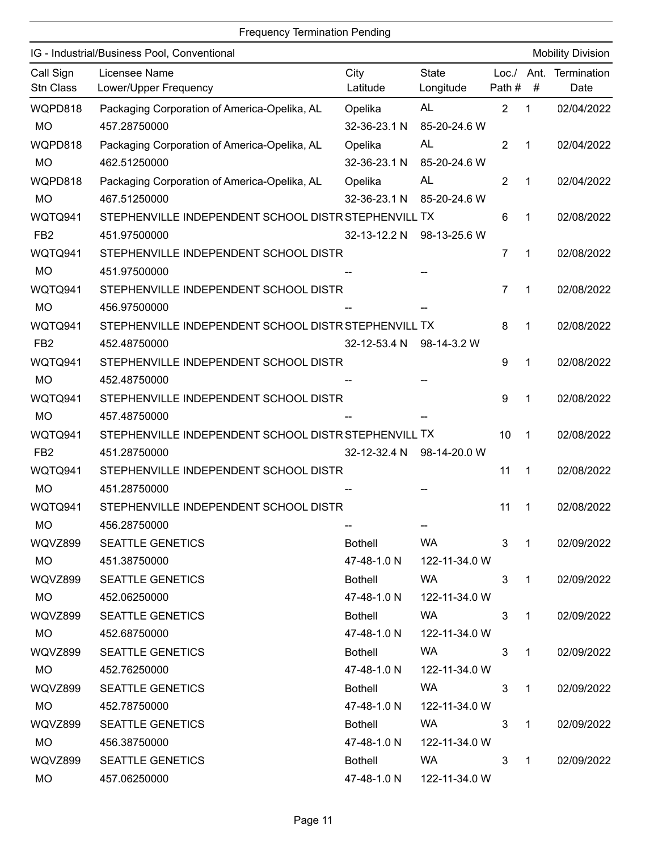|                        | <b>Frequency Termination Pending</b>                 |                  |                           |                |                |                          |
|------------------------|------------------------------------------------------|------------------|---------------------------|----------------|----------------|--------------------------|
|                        | IG - Industrial/Business Pool, Conventional          |                  |                           |                |                | <b>Mobility Division</b> |
| Call Sign<br>Stn Class | Licensee Name<br>Lower/Upper Frequency               | City<br>Latitude | <b>State</b><br>Longitude | Loc.<br>Path # | Ant.<br>#      | Termination<br>Date      |
| WQPD818                | Packaging Corporation of America-Opelika, AL         | Opelika          | <b>AL</b>                 | $\overline{2}$ | 1              | 02/04/2022               |
| <b>MO</b>              | 457.28750000                                         | 32-36-23.1 N     | 85-20-24.6 W              |                |                |                          |
| WQPD818                | Packaging Corporation of America-Opelika, AL         | Opelika          | <b>AL</b>                 | 2              | 1              | 02/04/2022               |
| <b>MO</b>              | 462.51250000                                         | 32-36-23.1 N     | 85-20-24.6 W              |                |                |                          |
| WQPD818                | Packaging Corporation of America-Opelika, AL         | Opelika          | <b>AL</b>                 | 2              | 1              | 02/04/2022               |
| <b>MO</b>              | 467.51250000                                         | 32-36-23.1 N     | 85-20-24.6 W              |                |                |                          |
| WQTQ941                | STEPHENVILLE INDEPENDENT SCHOOL DISTR STEPHENVILL TX |                  |                           | 6              | 1              | 02/08/2022               |
| FB <sub>2</sub>        | 451.97500000                                         | 32-13-12.2 N     | 98-13-25.6 W              |                |                |                          |
| WQTQ941                | STEPHENVILLE INDEPENDENT SCHOOL DISTR                |                  |                           | 7              | 1              | 02/08/2022               |
| <b>MO</b>              | 451.97500000                                         |                  |                           |                |                |                          |
| WQTQ941                | STEPHENVILLE INDEPENDENT SCHOOL DISTR                |                  |                           | $\overline{7}$ | 1              | 02/08/2022               |
| <b>MO</b>              | 456.97500000                                         |                  |                           |                |                |                          |
| WQTQ941                | STEPHENVILLE INDEPENDENT SCHOOL DISTR STEPHENVILL TX |                  |                           | 8              | 1              | 02/08/2022               |
| FB <sub>2</sub>        | 452.48750000                                         | 32-12-53.4 N     | 98-14-3.2 W               |                |                |                          |
| WQTQ941                | STEPHENVILLE INDEPENDENT SCHOOL DISTR                |                  |                           | 9              | 1              | 02/08/2022               |
| <b>MO</b>              | 452.48750000                                         |                  |                           |                |                |                          |
| WQTQ941                | STEPHENVILLE INDEPENDENT SCHOOL DISTR                |                  |                           | 9              | 1              | 02/08/2022               |
| <b>MO</b>              | 457.48750000                                         |                  |                           |                |                |                          |
| WQTQ941                | STEPHENVILLE INDEPENDENT SCHOOL DISTR STEPHENVILL TX |                  |                           | 10             | 1              | 02/08/2022               |
| FB <sub>2</sub>        | 451.28750000                                         | 32-12-32.4 N     | 98-14-20.0 W              |                |                |                          |
| WQTQ941                | STEPHENVILLE INDEPENDENT SCHOOL DISTR                |                  |                           | 11             | 1              | 02/08/2022               |
| <b>MO</b>              | 451.28750000                                         |                  |                           |                |                |                          |
| WQTQ941                | STEPHENVILLE INDEPENDENT SCHOOL DISTR                |                  |                           | $11 \quad 1$   |                | 02/08/2022               |
| <b>MO</b>              | 456.28750000                                         |                  |                           |                |                |                          |
| WQVZ899                | <b>SEATTLE GENETICS</b>                              | <b>Bothell</b>   | WA                        | 3              | $\overline{1}$ | 02/09/2022               |
| MO                     | 451.38750000                                         | 47-48-1.0 N      | 122-11-34.0 W             |                |                |                          |
| WQVZ899                | <b>SEATTLE GENETICS</b>                              | <b>Bothell</b>   | WA                        | 3              | $\mathbf{1}$   | 02/09/2022               |
| MO.                    | 452.06250000                                         | 47-48-1.0 N      | 122-11-34.0 W             |                |                |                          |
| WQVZ899                | <b>SEATTLE GENETICS</b>                              | <b>Bothell</b>   | WA                        | 3              | $\mathbf{1}$   | 02/09/2022               |
| MO                     | 452.68750000                                         | 47-48-1.0 N      | 122-11-34.0 W             |                |                |                          |
| WQVZ899                | <b>SEATTLE GENETICS</b>                              | <b>Bothell</b>   | WA                        | 3              | $\mathbf{1}$   | 02/09/2022               |
| MO                     | 452.76250000                                         | 47-48-1.0 N      | 122-11-34.0 W             |                |                |                          |
| WQVZ899                | <b>SEATTLE GENETICS</b>                              | <b>Bothell</b>   | <b>WA</b>                 | 3              | $\mathbf{1}$   | 02/09/2022               |
| MO                     | 452.78750000                                         | 47-48-1.0 N      | 122-11-34.0 W             |                |                |                          |
| WQVZ899                | <b>SEATTLE GENETICS</b>                              | <b>Bothell</b>   | WA                        | 3              | $\mathbf{1}$   | 02/09/2022               |
| MO                     | 456.38750000                                         | 47-48-1.0 N      | 122-11-34.0 W             |                |                |                          |
| WQVZ899                | <b>SEATTLE GENETICS</b>                              | <b>Bothell</b>   | WA                        | 3              | $\mathbf{1}$   | 02/09/2022               |
| MO                     | 457.06250000                                         | 47-48-1.0 N      | 122-11-34.0 W             |                |                |                          |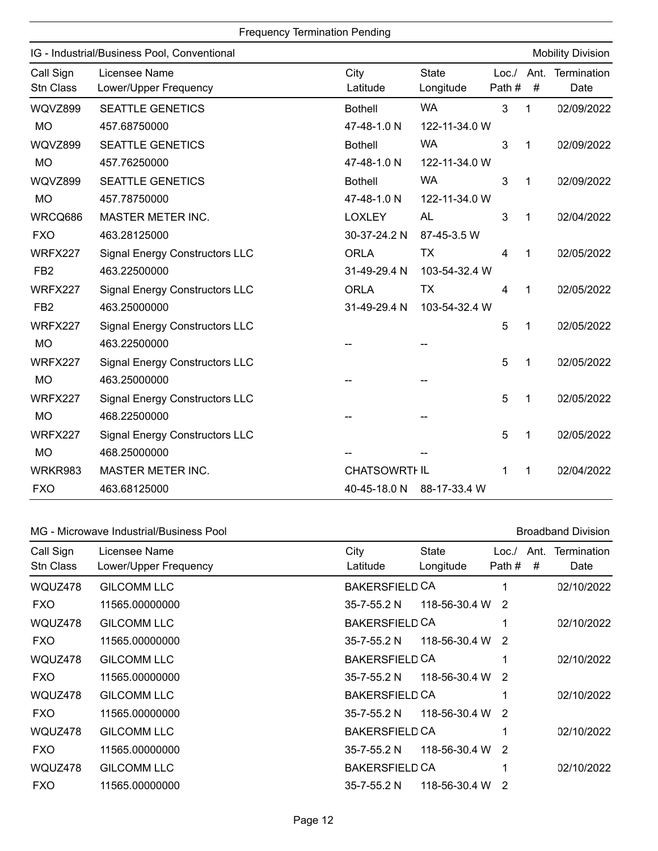|                               |                                             | <b>Frequency Termination Pending</b> |                           |                  |             |                          |
|-------------------------------|---------------------------------------------|--------------------------------------|---------------------------|------------------|-------------|--------------------------|
|                               | IG - Industrial/Business Pool, Conventional |                                      |                           |                  |             | <b>Mobility Division</b> |
| Call Sign<br><b>Stn Class</b> | Licensee Name<br>Lower/Upper Frequency      | City<br>Latitude                     | <b>State</b><br>Longitude | Loc. /<br>Path # | Ant.<br>#   | Termination<br>Date      |
| WQVZ899                       | <b>SEATTLE GENETICS</b>                     | <b>Bothell</b>                       | <b>WA</b>                 | 3                | 1           | 02/09/2022               |
| <b>MO</b>                     | 457.68750000                                | 47-48-1.0 N                          | 122-11-34.0 W             |                  |             |                          |
| WQVZ899                       | <b>SEATTLE GENETICS</b>                     | <b>Bothell</b>                       | <b>WA</b>                 | 3                | 1           | 02/09/2022               |
| <b>MO</b>                     | 457.76250000                                | 47-48-1.0 N                          | 122-11-34.0 W             |                  |             |                          |
| WQVZ899                       | <b>SEATTLE GENETICS</b>                     | <b>Bothell</b>                       | <b>WA</b>                 | 3                | 1           | 02/09/2022               |
| <b>MO</b>                     | 457.78750000                                | 47-48-1.0 N                          | 122-11-34.0 W             |                  |             |                          |
| WRCQ686                       | MASTER METER INC.                           | <b>LOXLEY</b>                        | AL                        | 3                | 1           | 02/04/2022               |
| <b>FXO</b>                    | 463.28125000                                | 30-37-24.2 N                         | 87-45-3.5 W               |                  |             |                          |
| WRFX227                       | <b>Signal Energy Constructors LLC</b>       | <b>ORLA</b>                          | TX                        | 4                | 1           | 02/05/2022               |
| FB <sub>2</sub>               | 463.22500000                                | 31-49-29.4 N                         | 103-54-32.4 W             |                  |             |                          |
| WRFX227                       | <b>Signal Energy Constructors LLC</b>       | <b>ORLA</b>                          | <b>TX</b>                 | 4                | 1           | 02/05/2022               |
| FB <sub>2</sub>               | 463.25000000                                | 31-49-29.4 N                         | 103-54-32.4 W             |                  |             |                          |
| WRFX227                       | <b>Signal Energy Constructors LLC</b>       |                                      |                           | 5                | 1           | 02/05/2022               |
| <b>MO</b>                     | 463.22500000                                |                                      |                           |                  |             |                          |
| WRFX227                       | <b>Signal Energy Constructors LLC</b>       |                                      |                           | 5                | 1           | 02/05/2022               |
| <b>MO</b>                     | 463.25000000                                |                                      |                           |                  |             |                          |
| WRFX227                       | <b>Signal Energy Constructors LLC</b>       |                                      |                           | 5                | 1           | 02/05/2022               |
| <b>MO</b>                     | 468.22500000                                |                                      |                           |                  |             |                          |
| WRFX227                       | <b>Signal Energy Constructors LLC</b>       |                                      |                           | 5                | 1           | 02/05/2022               |
| <b>MO</b>                     | 468.25000000                                |                                      |                           |                  |             |                          |
| WRKR983                       | <b>MASTER METER INC.</b>                    | <b>CHATSOWRTHIL</b>                  |                           | 1                | $\mathbf 1$ | 02/04/2022               |
| <b>FXO</b>                    | 463.68125000                                | 40-45-18.0 N                         | 88-17-33.4 W              |                  |             |                          |

#### MG - Microwave Industrial/Business Pool **Broadband Division** Broadband Division

#### Call Sign Licensee Name City State Loc./ Ant. Termination Stn Class Lower/Upper Frequency Latitude Longitude Path # # Date Licensee Name **City** Latitude **State** Longitude Path # # WQUZ478 02/10/2022 BAKERSFIELD CA FXO GILCOMM LLC 11565.00000000 35-7-55.2 N 118-56-30.4 W 2 1 WQUZ478 02/10/2022 BAKERSFIELD CA FXO GILCOMM LLC 11565.00000000 35-7-55.2 N 118-56-30.4 W 2 1 WQUZ478 02/10/2022 BAKERSFIELD CA FXO GILCOMM LLC 11565.00000000 35-7-55.2 N 118-56-30.4 W 2 1 WQUZ478 02/10/2022 BAKERSFIELD CA FXO GILCOMM LLC 11565.00000000 35-7-55.2 N 118-56-30.4 W 2 1 WQUZ478 02/10/2022 BAKERSFIELD CA FXO GILCOMM LLC 11565.00000000 35-7-55.2 N 118-56-30.4 W 2 1 WQUZ478 02/10/2022 BAKERSFIELD CA FXO GILCOMM LLC 11565.00000000 35-7-55.2 N 118-56-30.4 W 2 1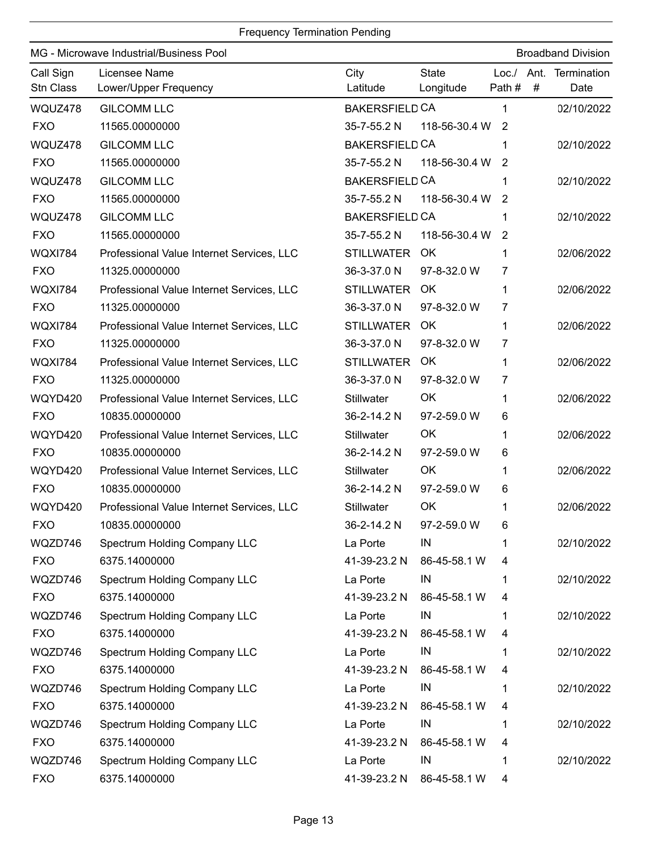| MG - Microwave Industrial/Business Pool |                                           |                       |                           | <b>Broadband Division</b> |   |                     |
|-----------------------------------------|-------------------------------------------|-----------------------|---------------------------|---------------------------|---|---------------------|
| Call Sign<br>Stn Class                  | Licensee Name<br>Lower/Upper Frequency    | City<br>Latitude      | <b>State</b><br>Longitude | Loc./ Ant.<br>Path #      | # | Termination<br>Date |
| WQUZ478                                 | <b>GILCOMM LLC</b>                        | <b>BAKERSFIELD CA</b> |                           | 1                         |   | 02/10/2022          |
| <b>FXO</b>                              | 11565.00000000                            | 35-7-55.2 N           | 118-56-30.4 W             | $\overline{2}$            |   |                     |
| WQUZ478                                 | <b>GILCOMM LLC</b>                        | <b>BAKERSFIELD CA</b> |                           | 1                         |   | 02/10/2022          |
| <b>FXO</b>                              | 11565.00000000                            | 35-7-55.2 N           | 118-56-30.4 W             | 2                         |   |                     |
| WQUZ478                                 | <b>GILCOMM LLC</b>                        | <b>BAKERSFIELD CA</b> |                           | 1                         |   | 02/10/2022          |
| <b>FXO</b>                              | 11565.00000000                            | 35-7-55.2 N           | 118-56-30.4 W             | 2                         |   |                     |
| WQUZ478                                 | <b>GILCOMM LLC</b>                        | <b>BAKERSFIELD CA</b> |                           | 1                         |   | 02/10/2022          |
| <b>FXO</b>                              | 11565.00000000                            | 35-7-55.2 N           | 118-56-30.4 W             | $\overline{2}$            |   |                     |
| <b>WQXI784</b>                          | Professional Value Internet Services, LLC | <b>STILLWATER</b>     | OK                        | 1                         |   | 02/06/2022          |
| <b>FXO</b>                              | 11325.00000000                            | 36-3-37.0 N           | 97-8-32.0 W               | 7                         |   |                     |
| <b>WQXI784</b>                          | Professional Value Internet Services, LLC | <b>STILLWATER</b>     | OK.                       | 1                         |   | 02/06/2022          |
| <b>FXO</b>                              | 11325.00000000                            | 36-3-37.0 N           | 97-8-32.0 W               | 7                         |   |                     |
| <b>WQXI784</b>                          | Professional Value Internet Services, LLC | <b>STILLWATER</b>     | <b>OK</b>                 | 1                         |   | 02/06/2022          |
| <b>FXO</b>                              | 11325.00000000                            | 36-3-37.0 N           | 97-8-32.0 W               | 7                         |   |                     |
| <b>WQXI784</b>                          | Professional Value Internet Services, LLC | <b>STILLWATER</b>     | OK                        | 1                         |   | 02/06/2022          |
| <b>FXO</b>                              | 11325.00000000                            | 36-3-37.0 N           | 97-8-32.0 W               | 7                         |   |                     |
| WQYD420                                 | Professional Value Internet Services, LLC | Stillwater            | OK                        | 1                         |   | 02/06/2022          |
| <b>FXO</b>                              | 10835.00000000                            | 36-2-14.2 N           | 97-2-59.0 W               | 6                         |   |                     |
| WQYD420                                 | Professional Value Internet Services, LLC | Stillwater            | OK                        | 1                         |   | 02/06/2022          |
| <b>FXO</b>                              | 10835.00000000                            | 36-2-14.2 N           | 97-2-59.0 W               | 6                         |   |                     |
| WQYD420                                 | Professional Value Internet Services, LLC | <b>Stillwater</b>     | OK                        | 1                         |   | 02/06/2022          |
| <b>FXO</b>                              | 10835.00000000                            | 36-2-14.2 N           | 97-2-59.0 W               | 6                         |   |                     |
| WQYD420                                 | Professional Value Internet Services, LLC | Stillwater            | OK                        | 1                         |   | 02/06/2022          |
| <b>FXO</b>                              | 10835.00000000                            | 36-2-14.2 N           | 97-2-59.0 W               | 6                         |   |                     |
| WQZD746                                 | Spectrum Holding Company LLC              | La Porte              | IN                        |                           |   | 02/10/2022          |
| <b>FXO</b>                              | 6375.14000000                             | 41-39-23.2 N          | 86-45-58.1 W              | 4                         |   |                     |
| WQZD746                                 | Spectrum Holding Company LLC              | La Porte              | IN                        |                           |   | 02/10/2022          |
| <b>FXO</b>                              | 6375.14000000                             | 41-39-23.2 N          | 86-45-58.1 W              | 4                         |   |                     |
| WQZD746                                 | Spectrum Holding Company LLC              | La Porte              | IN                        |                           |   | 02/10/2022          |
| <b>FXO</b>                              | 6375.14000000                             | 41-39-23.2 N          | 86-45-58.1 W              | 4                         |   |                     |
| WQZD746                                 | Spectrum Holding Company LLC              | La Porte              | IN                        |                           |   | 02/10/2022          |
| <b>FXO</b>                              | 6375.14000000                             | 41-39-23.2 N          | 86-45-58.1 W              | 4                         |   |                     |
| WQZD746                                 | Spectrum Holding Company LLC              | La Porte              | IN                        |                           |   | 02/10/2022          |
| <b>FXO</b>                              | 6375.14000000                             | 41-39-23.2 N          | 86-45-58.1 W              | 4                         |   |                     |
| WQZD746                                 | Spectrum Holding Company LLC              | La Porte              | IN                        | 1                         |   | 02/10/2022          |
| <b>FXO</b>                              | 6375.14000000                             | 41-39-23.2 N          | 86-45-58.1 W              | 4                         |   |                     |
| WQZD746                                 | <b>Spectrum Holding Company LLC</b>       | La Porte              | IN                        |                           |   | 02/10/2022          |
| <b>FXO</b>                              | 6375.14000000                             | 41-39-23.2 N          | 86-45-58.1 W              | 4                         |   |                     |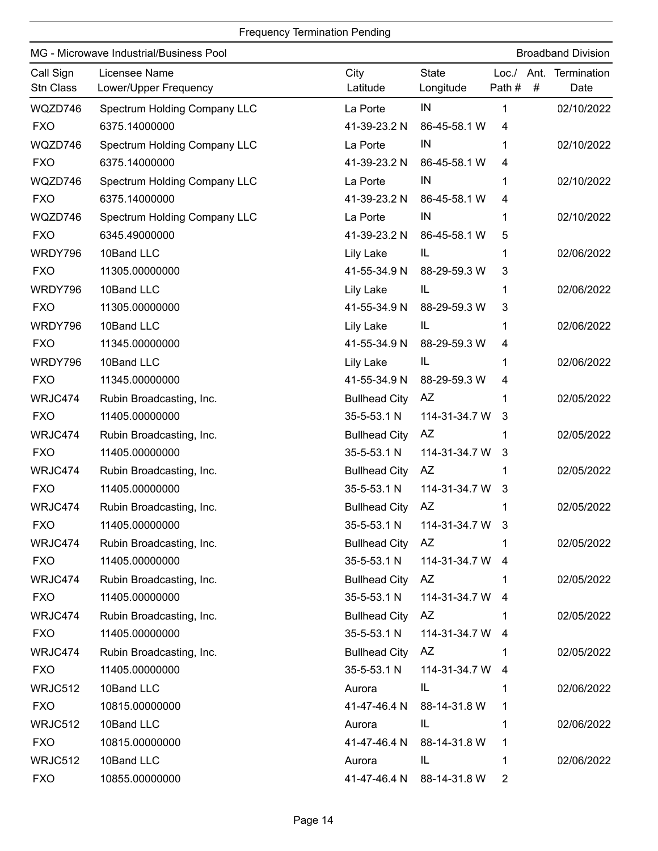|                        | MG - Microwave Industrial/Business Pool |                      |                           |                      | <b>Broadband Division</b> |
|------------------------|-----------------------------------------|----------------------|---------------------------|----------------------|---------------------------|
| Call Sign<br>Stn Class | Licensee Name<br>Lower/Upper Frequency  | City<br>Latitude     | <b>State</b><br>Longitude | Loc. /<br>Path#<br># | Ant. Termination<br>Date  |
| WQZD746                | <b>Spectrum Holding Company LLC</b>     | La Porte             | IN                        | 1                    | 02/10/2022                |
| <b>FXO</b>             | 6375.14000000                           | 41-39-23.2 N         | 86-45-58.1 W              | 4                    |                           |
| WQZD746                | Spectrum Holding Company LLC            | La Porte             | IN                        | 1                    | 02/10/2022                |
| <b>FXO</b>             | 6375.14000000                           | 41-39-23.2 N         | 86-45-58.1 W              | 4                    |                           |
| WQZD746                | Spectrum Holding Company LLC            | La Porte             | IN                        | 1                    | 02/10/2022                |
| <b>FXO</b>             | 6375.14000000                           | 41-39-23.2 N         | 86-45-58.1 W              | 4                    |                           |
| WQZD746                | <b>Spectrum Holding Company LLC</b>     | La Porte             | IN                        | 1                    | 02/10/2022                |
| <b>FXO</b>             | 6345.49000000                           | 41-39-23.2 N         | 86-45-58.1 W              | 5                    |                           |
| WRDY796                | 10Band LLC                              | Lily Lake            | IL                        | 1                    | 02/06/2022                |
| <b>FXO</b>             | 11305.00000000                          | 41-55-34.9 N         | 88-29-59.3 W              | 3                    |                           |
| WRDY796                | 10Band LLC                              | Lily Lake            | IL                        | 1                    | 02/06/2022                |
| <b>FXO</b>             | 11305.00000000                          | 41-55-34.9 N         | 88-29-59.3 W              | 3                    |                           |
| WRDY796                | 10Band LLC                              | <b>Lily Lake</b>     | IL                        | 1                    | 02/06/2022                |
| <b>FXO</b>             | 11345.00000000                          | 41-55-34.9 N         | 88-29-59.3 W              | 4                    |                           |
| WRDY796                | 10Band LLC                              | Lily Lake            | IL.                       | 1                    | 02/06/2022                |
| <b>FXO</b>             | 11345.00000000                          | 41-55-34.9 N         | 88-29-59.3 W              | 4                    |                           |
| WRJC474                | Rubin Broadcasting, Inc.                | <b>Bullhead City</b> | <b>AZ</b>                 |                      | 02/05/2022                |
| <b>FXO</b>             | 11405.00000000                          | 35-5-53.1 N          | 114-31-34.7 W             | 3                    |                           |
| WRJC474                | Rubin Broadcasting, Inc.                | <b>Bullhead City</b> | <b>AZ</b>                 | 1                    | 02/05/2022                |
| <b>FXO</b>             | 11405.00000000                          | 35-5-53.1 N          | 114-31-34.7 W             | 3                    |                           |
| WRJC474                | Rubin Broadcasting, Inc.                | <b>Bullhead City</b> | AZ                        | 1                    | 02/05/2022                |
| <b>FXO</b>             | 11405.00000000                          | 35-5-53.1 N          | 114-31-34.7 W             | 3                    |                           |
| WRJC474                | Rubin Broadcasting, Inc.                | <b>Bullhead City</b> | AZ                        |                      | 02/05/2022                |
| <b>FXO</b>             | 11405.00000000                          |                      | 35-5-53.1 N 114-31-34.7 W |                      |                           |
| WRJC474                | Rubin Broadcasting, Inc.                | <b>Bullhead City</b> | AZ                        |                      | 02/05/2022                |
| <b>FXO</b>             | 11405.00000000                          | 35-5-53.1 N          | 114-31-34.7 W             | -4                   |                           |
| WRJC474                | Rubin Broadcasting, Inc.                | <b>Bullhead City</b> | AZ                        |                      | 02/05/2022                |
| <b>FXO</b>             | 11405.00000000                          | 35-5-53.1 N          | 114-31-34.7 W             | -4                   |                           |
| WRJC474                | Rubin Broadcasting, Inc.                | <b>Bullhead City</b> | AZ                        |                      | 02/05/2022                |
| <b>FXO</b>             | 11405.00000000                          | 35-5-53.1 N          | 114-31-34.7 W             | 4                    |                           |
| WRJC474                | Rubin Broadcasting, Inc.                | <b>Bullhead City</b> | AZ                        |                      | 02/05/2022                |
| <b>FXO</b>             | 11405.00000000                          | 35-5-53.1 N          | 114-31-34.7 W             | 4                    |                           |
| WRJC512                | 10Band LLC                              | Aurora               | IL.                       |                      | 02/06/2022                |
| <b>FXO</b>             | 10815.00000000                          | 41-47-46.4 N         | 88-14-31.8 W              | 1                    |                           |
| WRJC512                | 10Band LLC                              | Aurora               | IL                        | 1                    | 02/06/2022                |
| <b>FXO</b>             | 10815.00000000                          | 41-47-46.4 N         | 88-14-31.8 W              | 1                    |                           |
| WRJC512                | 10Band LLC                              | Aurora               | IL.                       | 1                    | 02/06/2022                |
| <b>FXO</b>             | 10855.00000000                          | 41-47-46.4 N         | 88-14-31.8 W              | 2                    |                           |